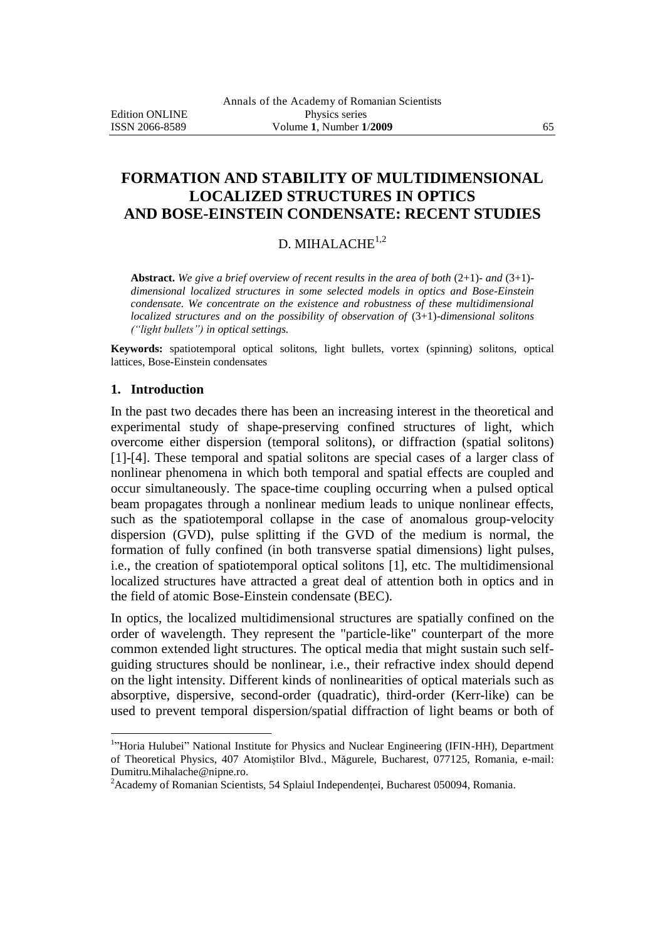# **FORMATION AND STABILITY OF MULTIDIMENSIONAL LOCALIZED STRUCTURES IN OPTICS AND BOSE-EINSTEIN CONDENSATE: RECENT STUDIES**

## D. MIHALACHE<sup>1,2</sup>

**Abstract.** *We give a brief overview of recent results in the area of both* (2+1)- *and* (3+1) *dimensional localized structures in some selected models in optics and Bose-Einstein condensate. We concentrate on the existence and robustness of these multidimensional localized structures and on the possibility of observation of*  $(3+1)$ *-dimensional solitons ("light bullets") in optical settings.* 

**Keywords:** spatiotemporal optical solitons, light bullets, vortex (spinning) solitons, optical lattices, Bose-Einstein condensates

### **1. Introduction**

 $\overline{a}$ 

In the past two decades there has been an increasing interest in the theoretical and experimental study of shape-preserving confined structures of light, which overcome either dispersion (temporal solitons), or diffraction (spatial solitons) [1]-[4]. These temporal and spatial solitons are special cases of a larger class of nonlinear phenomena in which both temporal and spatial effects are coupled and occur simultaneously. The space-time coupling occurring when a pulsed optical beam propagates through a nonlinear medium leads to unique nonlinear effects, such as the spatiotemporal collapse in the case of anomalous group-velocity dispersion (GVD), pulse splitting if the GVD of the medium is normal, the formation of fully confined (in both transverse spatial dimensions) light pulses, i.e., the creation of spatiotemporal optical solitons [1], etc. The multidimensional localized structures have attracted a great deal of attention both in optics and in the field of atomic Bose-Einstein condensate (BEC).

In optics, the localized multidimensional structures are spatially confined on the order of wavelength. They represent the "particle-like" counterpart of the more common extended light structures. The optical media that might sustain such selfguiding structures should be nonlinear, i.e., their refractive index should depend on the light intensity. Different kinds of nonlinearities of optical materials such as absorptive, dispersive, second-order (quadratic), third-order (Kerr-like) can be used to prevent temporal dispersion/spatial diffraction of light beams or both of

<sup>&</sup>lt;sup>1</sup>"Horia Hulubei" National Institute for Physics and Nuclear Engineering (IFIN-HH), Department of Theoretical Physics, 407 Atomiștilor Blvd., Măgurele, Bucharest, 077125, Romania, e-mail: Dumitru.Mihalache@nipne.ro.

<sup>2</sup>Academy of Romanian Scientists, 54 Splaiul Independenței, Bucharest 050094, Romania.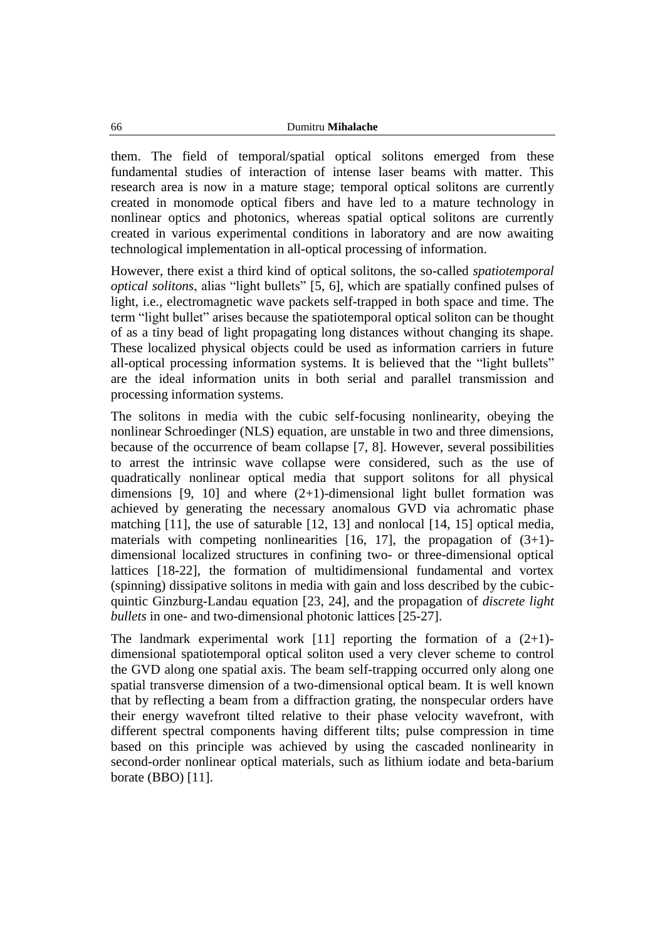them. The field of temporal/spatial optical solitons emerged from these fundamental studies of interaction of intense laser beams with matter. This research area is now in a mature stage; temporal optical solitons are currently created in monomode optical fibers and have led to a mature technology in nonlinear optics and photonics, whereas spatial optical solitons are currently created in various experimental conditions in laboratory and are now awaiting technological implementation in all-optical processing of information.

However, there exist a third kind of optical solitons, the so-called *spatiotemporal optical solitons*, alias "light bullets" [5, 6], which are spatially confined pulses of light, i.e., electromagnetic wave packets self-trapped in both space and time. The term "light bullet" arises because the spatiotemporal optical soliton can be thought of as a tiny bead of light propagating long distances without changing its shape. These localized physical objects could be used as information carriers in future all-optical processing information systems. It is believed that the "light bullets" are the ideal information units in both serial and parallel transmission and processing information systems.

The solitons in media with the cubic self-focusing nonlinearity, obeying the nonlinear Schroedinger (NLS) equation, are unstable in two and three dimensions, because of the occurrence of beam collapse [7, 8]. However, several possibilities to arrest the intrinsic wave collapse were considered, such as the use of quadratically nonlinear optical media that support solitons for all physical dimensions  $[9, 10]$  and where  $(2+1)$ -dimensional light bullet formation was achieved by generating the necessary anomalous GVD via achromatic phase matching [11], the use of saturable [12, 13] and nonlocal [14, 15] optical media, materials with competing nonlinearities  $[16, 17]$ , the propagation of  $(3+1)$ dimensional localized structures in confining two- or three-dimensional optical lattices [18-22], the formation of multidimensional fundamental and vortex (spinning) dissipative solitons in media with gain and loss described by the cubicquintic Ginzburg-Landau equation [23, 24], and the propagation of *discrete light bullets* in one- and two-dimensional photonic lattices [25-27].

The landmark experimental work [11] reporting the formation of a  $(2+1)$ dimensional spatiotemporal optical soliton used a very clever scheme to control the GVD along one spatial axis. The beam self-trapping occurred only along one spatial transverse dimension of a two-dimensional optical beam. It is well known that by reflecting a beam from a diffraction grating, the nonspecular orders have their energy wavefront tilted relative to their phase velocity wavefront, with different spectral components having different tilts; pulse compression in time based on this principle was achieved by using the cascaded nonlinearity in second-order nonlinear optical materials, such as lithium iodate and beta-barium borate (BBO) [11].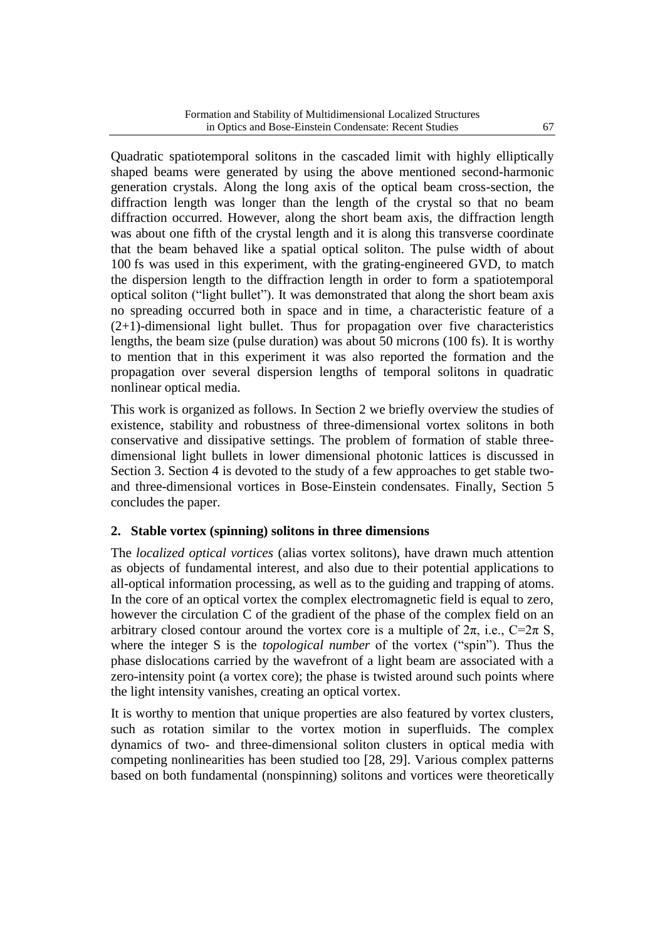Quadratic spatiotemporal solitons in the cascaded limit with highly elliptically shaped beams were generated by using the above mentioned second-harmonic generation crystals. Along the long axis of the optical beam cross-section, the diffraction length was longer than the length of the crystal so that no beam diffraction occurred. However, along the short beam axis, the diffraction length was about one fifth of the crystal length and it is along this transverse coordinate that the beam behaved like a spatial optical soliton. The pulse width of about 100 fs was used in this experiment, with the grating-engineered GVD, to match the dispersion length to the diffraction length in order to form a spatiotemporal optical soliton ("light bullet"). It was demonstrated that along the short beam axis no spreading occurred both in space and in time, a characteristic feature of a (2+1)-dimensional light bullet. Thus for propagation over five characteristics lengths, the beam size (pulse duration) was about 50 microns (100 fs). It is worthy to mention that in this experiment it was also reported the formation and the propagation over several dispersion lengths of temporal solitons in quadratic nonlinear optical media.

This work is organized as follows. In Section 2 we briefly overview the studies of existence, stability and robustness of three-dimensional vortex solitons in both conservative and dissipative settings. The problem of formation of stable threedimensional light bullets in lower dimensional photonic lattices is discussed in Section 3. Section 4 is devoted to the study of a few approaches to get stable twoand three-dimensional vortices in Bose-Einstein condensates. Finally, Section 5 concludes the paper.

## **2. Stable vortex (spinning) solitons in three dimensions**

The *localized optical vortices* (alias vortex solitons), have drawn much attention as objects of fundamental interest, and also due to their potential applications to all-optical information processing, as well as to the guiding and trapping of atoms. In the core of an optical vortex the complex electromagnetic field is equal to zero, however the circulation C of the gradient of the phase of the complex field on an arbitrary closed contour around the vortex core is a multiple of  $2\pi$ , i.e.,  $C=2\pi S$ , where the integer S is the *topological number* of the vortex ("spin"). Thus the phase dislocations carried by the wavefront of a light beam are associated with a zero-intensity point (a vortex core); the phase is twisted around such points where the light intensity vanishes, creating an optical vortex.

It is worthy to mention that unique properties are also featured by vortex clusters, such as rotation similar to the vortex motion in superfluids. The complex dynamics of two- and three-dimensional soliton clusters in optical media with competing nonlinearities has been studied too [28, 29]. Various complex patterns based on both fundamental (nonspinning) solitons and vortices were theoretically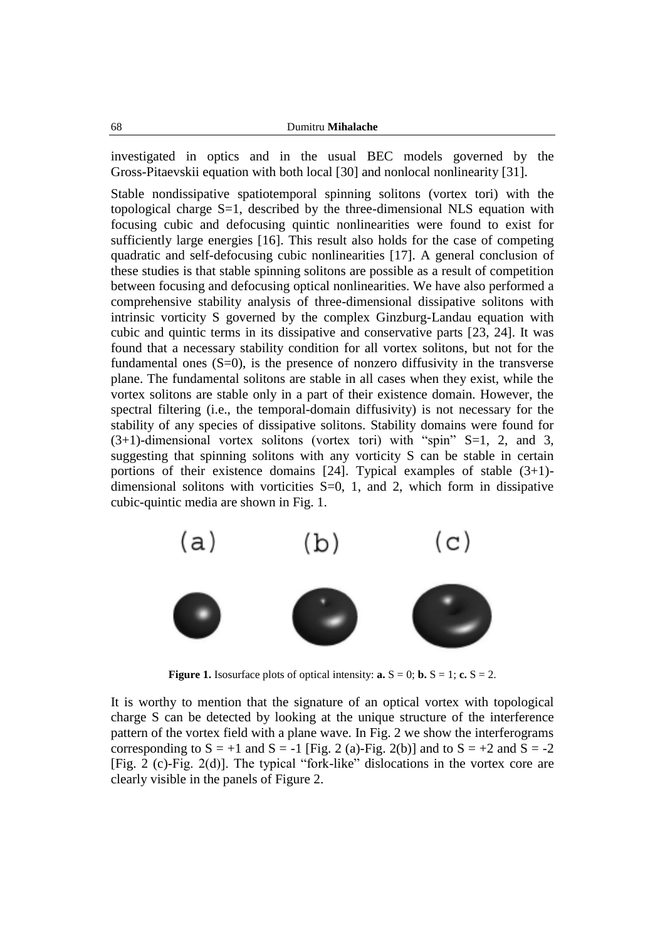investigated in optics and in the usual BEC models governed by the Gross-Pitaevskii equation with both local [30] and nonlocal nonlinearity [31].

Stable nondissipative spatiotemporal spinning solitons (vortex tori) with the topological charge S=1, described by the three-dimensional NLS equation with focusing cubic and defocusing quintic nonlinearities were found to exist for sufficiently large energies [16]. This result also holds for the case of competing quadratic and self-defocusing cubic nonlinearities [17]. A general conclusion of these studies is that stable spinning solitons are possible as a result of competition between focusing and defocusing optical nonlinearities. We have also performed a comprehensive stability analysis of three-dimensional dissipative solitons with intrinsic vorticity S governed by the complex Ginzburg-Landau equation with cubic and quintic terms in its dissipative and conservative parts [23, 24]. It was found that a necessary stability condition for all vortex solitons, but not for the fundamental ones  $(S=0)$ , is the presence of nonzero diffusivity in the transverse plane. The fundamental solitons are stable in all cases when they exist, while the vortex solitons are stable only in a part of their existence domain. However, the spectral filtering (i.e., the temporal-domain diffusivity) is not necessary for the stability of any species of dissipative solitons. Stability domains were found for  $(3+1)$ -dimensional vortex solitons (vortex tori) with "spin" S=1, 2, and 3, suggesting that spinning solitons with any vorticity S can be stable in certain portions of their existence domains  $[24]$ . Typical examples of stable  $(3+1)$ dimensional solitons with vorticities  $S=0$ , 1, and 2, which form in dissipative cubic-quintic media are shown in Fig. 1.



**Figure 1.** Isosurface plots of optical intensity: **a.**  $S = 0$ ; **b.**  $S = 1$ ; **c.**  $S = 2$ .

It is worthy to mention that the signature of an optical vortex with topological charge S can be detected by looking at the unique structure of the interference pattern of the vortex field with a plane wave. In Fig. 2 we show the interferograms corresponding to  $S = +1$  and  $S = -1$  [Fig. 2 (a)-Fig. 2(b)] and to  $S = +2$  and  $S = -2$ [Fig. 2 (c)-Fig. 2(d)]. The typical "fork-like" dislocations in the vortex core are clearly visible in the panels of Figure 2.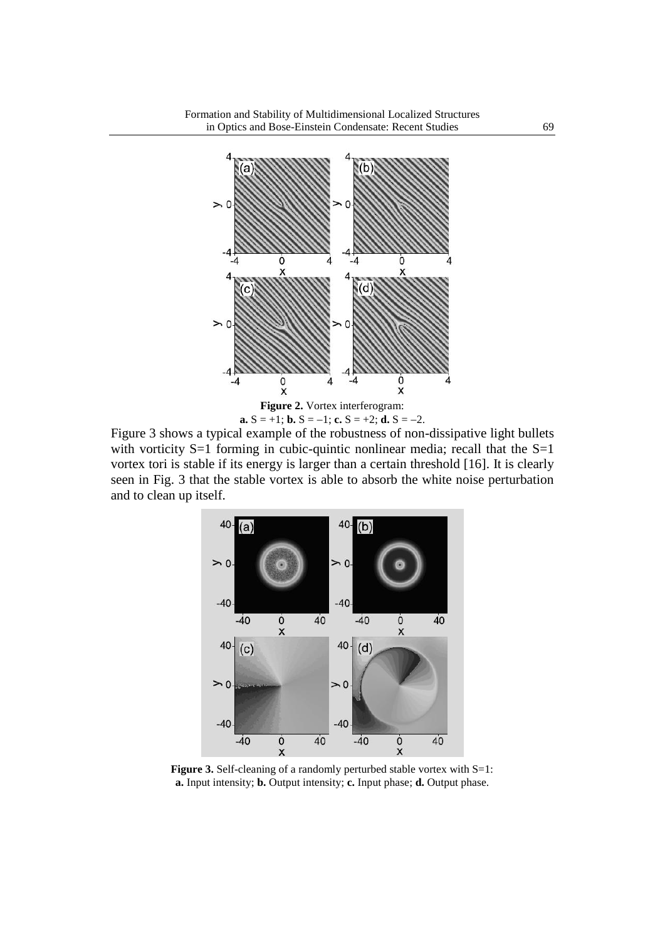

Figure 3 shows a typical example of the robustness of non-dissipative light bullets with vorticity  $S=1$  forming in cubic-quintic nonlinear media; recall that the  $S=1$ vortex tori is stable if its energy is larger than a certain threshold [16]. It is clearly seen in Fig. 3 that the stable vortex is able to absorb the white noise perturbation and to clean up itself.



**Figure 3.** Self-cleaning of a randomly perturbed stable vortex with S=1: **a.** Input intensity; **b.** Output intensity; **c.** Input phase; **d.** Output phase.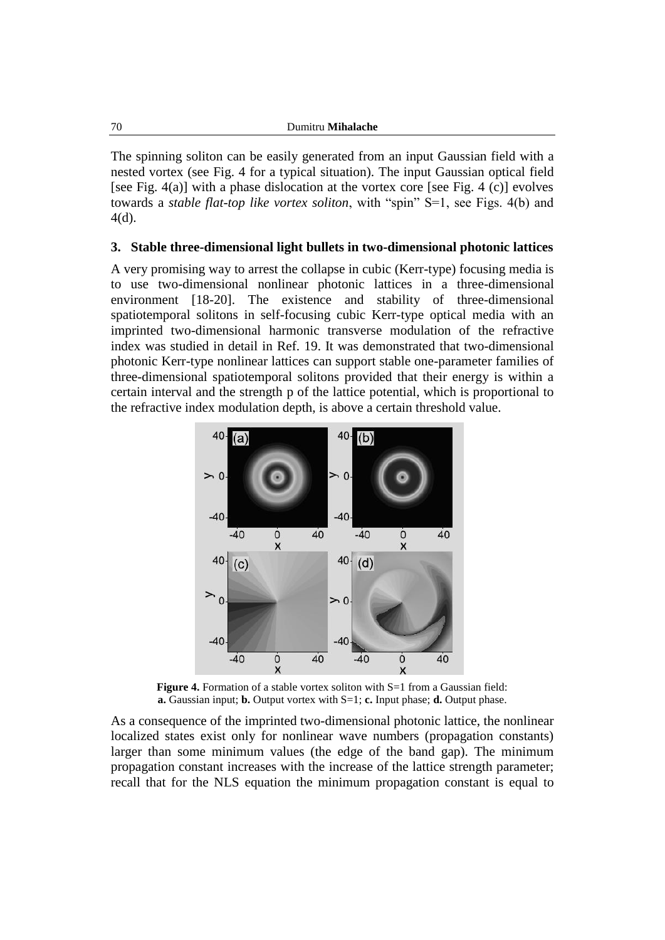The spinning soliton can be easily generated from an input Gaussian field with a nested vortex (see Fig. 4 for a typical situation). The input Gaussian optical field [see Fig. 4(a)] with a phase dislocation at the vortex core [see Fig. 4 (c)] evolves towards a *stable flat-top like vortex soliton*, with "spin" S=1, see Figs. 4(b) and 4(d).

#### **3. Stable three-dimensional light bullets in two-dimensional photonic lattices**

A very promising way to arrest the collapse in cubic (Kerr-type) focusing media is to use two-dimensional nonlinear photonic lattices in a three-dimensional environment [18-20]. The existence and stability of three-dimensional spatiotemporal solitons in self-focusing cubic Kerr-type optical media with an imprinted two-dimensional harmonic transverse modulation of the refractive index was studied in detail in Ref. 19. It was demonstrated that two-dimensional photonic Kerr-type nonlinear lattices can support stable one-parameter families of three-dimensional spatiotemporal solitons provided that their energy is within a certain interval and the strength p of the lattice potential, which is proportional to the refractive index modulation depth, is above a certain threshold value.



**Figure 4.** Formation of a stable vortex soliton with S=1 from a Gaussian field: **a.** Gaussian input; **b.** Output vortex with S=1; **c.** Input phase; **d.** Output phase.

As a consequence of the imprinted two-dimensional photonic lattice, the nonlinear localized states exist only for nonlinear wave numbers (propagation constants) larger than some minimum values (the edge of the band gap). The minimum propagation constant increases with the increase of the lattice strength parameter; recall that for the NLS equation the minimum propagation constant is equal to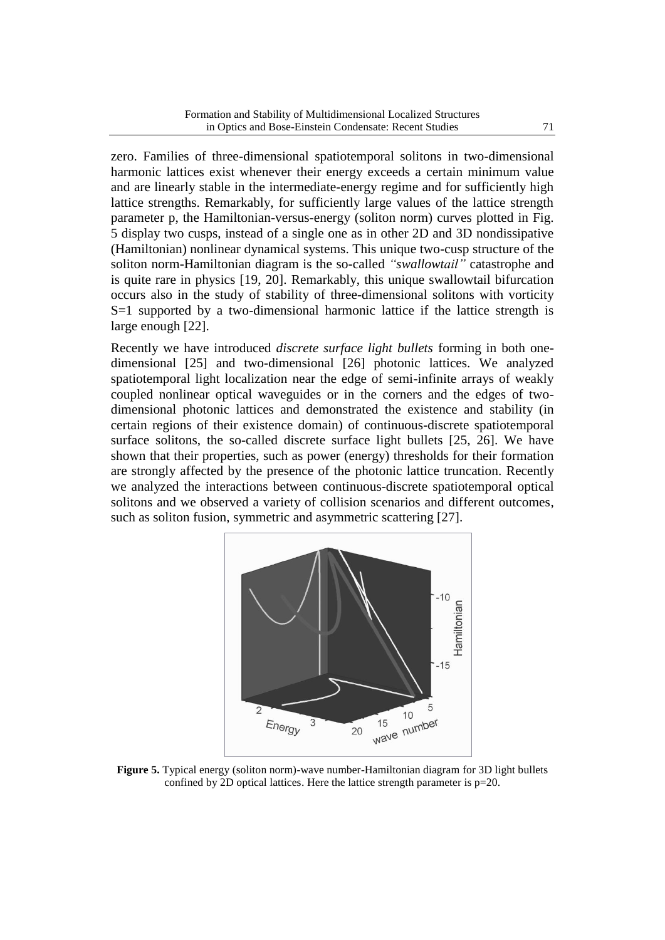zero. Families of three-dimensional spatiotemporal solitons in two-dimensional harmonic lattices exist whenever their energy exceeds a certain minimum value and are linearly stable in the intermediate-energy regime and for sufficiently high lattice strengths. Remarkably, for sufficiently large values of the lattice strength parameter p, the Hamiltonian-versus-energy (soliton norm) curves plotted in Fig. 5 display two cusps, instead of a single one as in other 2D and 3D nondissipative (Hamiltonian) nonlinear dynamical systems. This unique two-cusp structure of the soliton norm-Hamiltonian diagram is the so-called *"swallowtail"* catastrophe and is quite rare in physics [19, 20]. Remarkably, this unique swallowtail bifurcation occurs also in the study of stability of three-dimensional solitons with vorticity S=1 supported by a two-dimensional harmonic lattice if the lattice strength is large enough [22].

Recently we have introduced *discrete surface light bullets* forming in both onedimensional [25] and two-dimensional [26] photonic lattices. We analyzed spatiotemporal light localization near the edge of semi-infinite arrays of weakly coupled nonlinear optical waveguides or in the corners and the edges of twodimensional photonic lattices and demonstrated the existence and stability (in certain regions of their existence domain) of continuous-discrete spatiotemporal surface solitons, the so-called discrete surface light bullets [25, 26]. We have shown that their properties, such as power (energy) thresholds for their formation are strongly affected by the presence of the photonic lattice truncation. Recently we analyzed the interactions between continuous-discrete spatiotemporal optical solitons and we observed a variety of collision scenarios and different outcomes, such as soliton fusion, symmetric and asymmetric scattering [27].



**Figure 5.** Typical energy (soliton norm)-wave number-Hamiltonian diagram for 3D light bullets confined by 2D optical lattices. Here the lattice strength parameter is p=20.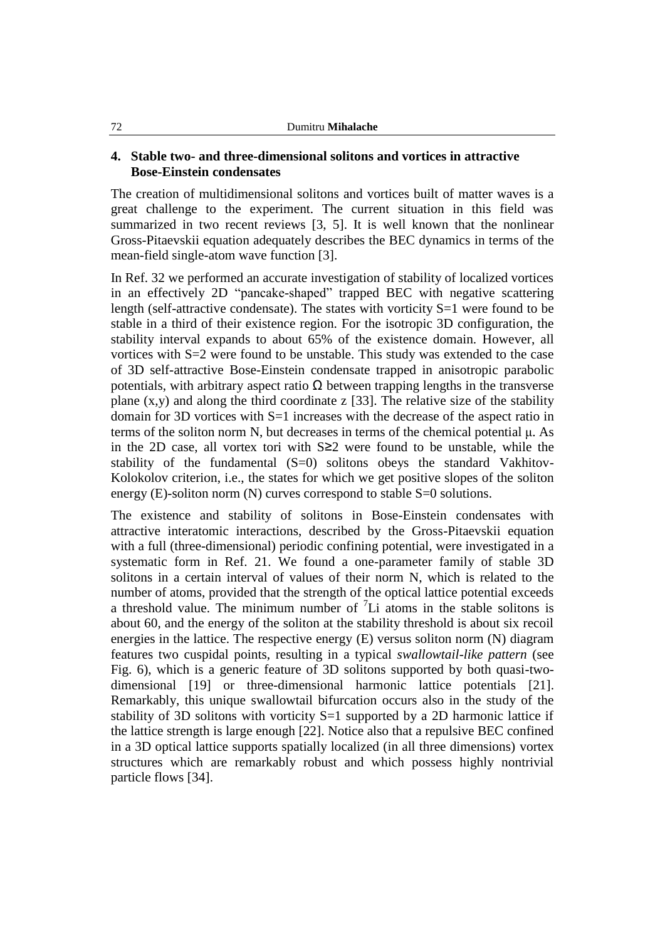### **4. Stable two- and three-dimensional solitons and vortices in attractive Bose-Einstein condensates**

The creation of multidimensional solitons and vortices built of matter waves is a great challenge to the experiment. The current situation in this field was summarized in two recent reviews [3, 5]. It is well known that the nonlinear Gross-Pitaevskii equation adequately describes the BEC dynamics in terms of the mean-field single-atom wave function [3].

In Ref. 32 we performed an accurate investigation of stability of localized vortices in an effectively 2D "pancake-shaped" trapped BEC with negative scattering length (self-attractive condensate). The states with vorticity S=1 were found to be stable in a third of their existence region. For the isotropic 3D configuration, the stability interval expands to about 65% of the existence domain. However, all vortices with S=2 were found to be unstable. This study was extended to the case of 3D self-attractive Bose-Einstein condensate trapped in anisotropic parabolic potentials, with arbitrary aspect ratio  $\Omega$  between trapping lengths in the transverse plane  $(x,y)$  and along the third coordinate z [33]. The relative size of the stability domain for 3D vortices with S=1 increases with the decrease of the aspect ratio in terms of the soliton norm N, but decreases in terms of the chemical potential μ. As in the 2D case, all vortex tori with S≥2 were found to be unstable, while the stability of the fundamental  $(S=0)$  solitons obeys the standard Vakhitov-Kolokolov criterion, i.e., the states for which we get positive slopes of the soliton energy (E)-soliton norm (N) curves correspond to stable S=0 solutions.

The existence and stability of solitons in Bose-Einstein condensates with attractive interatomic interactions, described by the Gross-Pitaevskii equation with a full (three-dimensional) periodic confining potential, were investigated in a systematic form in Ref. 21. We found a one-parameter family of stable 3D solitons in a certain interval of values of their norm N, which is related to the number of atoms, provided that the strength of the optical lattice potential exceeds a threshold value. The minimum number of  ${}^{7}Li$  atoms in the stable solitons is about 60, and the energy of the soliton at the stability threshold is about six recoil energies in the lattice. The respective energy (E) versus soliton norm (N) diagram features two cuspidal points, resulting in a typical *swallowtail-like pattern* (see Fig. 6), which is a generic feature of 3D solitons supported by both quasi-twodimensional [19] or three-dimensional harmonic lattice potentials [21]. Remarkably, this unique swallowtail bifurcation occurs also in the study of the stability of 3D solitons with vorticity S=1 supported by a 2D harmonic lattice if the lattice strength is large enough [22]. Notice also that a repulsive BEC confined in a 3D optical lattice supports spatially localized (in all three dimensions) vortex structures which are remarkably robust and which possess highly nontrivial particle flows [34].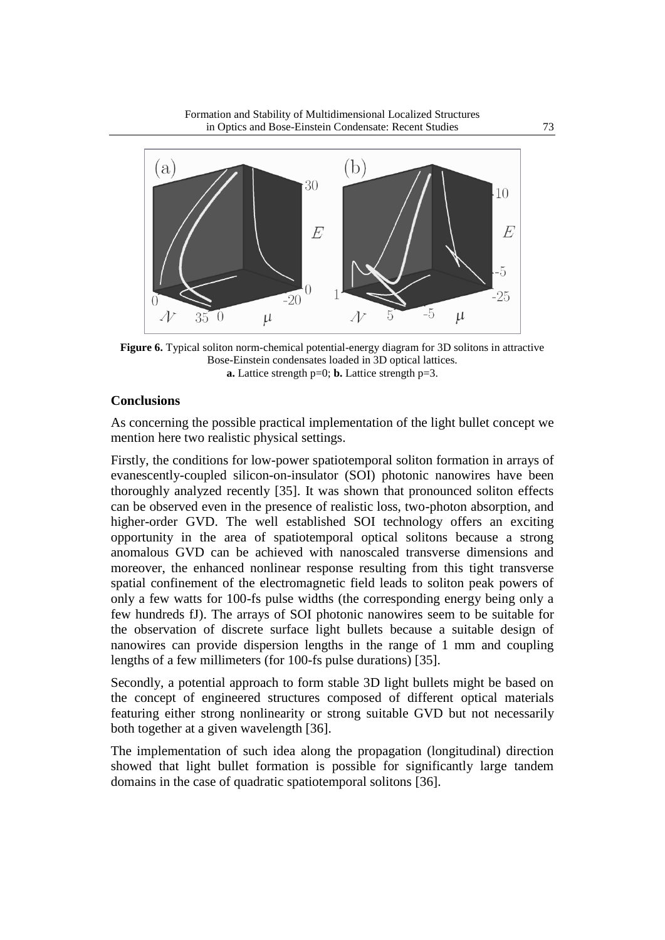Formation and Stability of Multidimensional Localized Structures in Optics and Bose-Einstein Condensate: Recent Studies 73



**Figure 6.** Typical soliton norm-chemical potential-energy diagram for 3D solitons in attractive Bose-Einstein condensates loaded in 3D optical lattices. **a.** Lattice strength p=0; **b.** Lattice strength p=3.

### **Conclusions**

As concerning the possible practical implementation of the light bullet concept we mention here two realistic physical settings.

Firstly, the conditions for low-power spatiotemporal soliton formation in arrays of evanescently-coupled silicon-on-insulator (SOI) photonic nanowires have been thoroughly analyzed recently [35]. It was shown that pronounced soliton effects can be observed even in the presence of realistic loss, two-photon absorption, and higher-order GVD. The well established SOI technology offers an exciting opportunity in the area of spatiotemporal optical solitons because a strong anomalous GVD can be achieved with nanoscaled transverse dimensions and moreover, the enhanced nonlinear response resulting from this tight transverse spatial confinement of the electromagnetic field leads to soliton peak powers of only a few watts for 100-fs pulse widths (the corresponding energy being only a few hundreds fJ). The arrays of SOI photonic nanowires seem to be suitable for the observation of discrete surface light bullets because a suitable design of nanowires can provide dispersion lengths in the range of 1 mm and coupling lengths of a few millimeters (for 100-fs pulse durations) [35].

Secondly, a potential approach to form stable 3D light bullets might be based on the concept of engineered structures composed of different optical materials featuring either strong nonlinearity or strong suitable GVD but not necessarily both together at a given wavelength [36].

The implementation of such idea along the propagation (longitudinal) direction showed that light bullet formation is possible for significantly large tandem domains in the case of quadratic spatiotemporal solitons [36].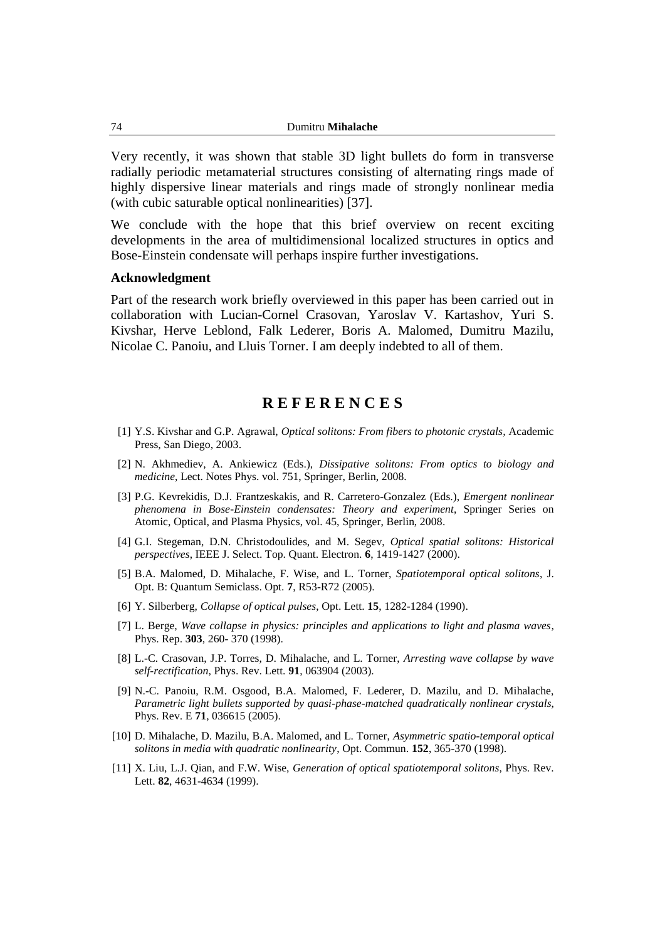Very recently, it was shown that stable 3D light bullets do form in transverse radially periodic metamaterial structures consisting of alternating rings made of highly dispersive linear materials and rings made of strongly nonlinear media (with cubic saturable optical nonlinearities) [37].

We conclude with the hope that this brief overview on recent exciting developments in the area of multidimensional localized structures in optics and Bose-Einstein condensate will perhaps inspire further investigations.

#### **Acknowledgment**

Part of the research work briefly overviewed in this paper has been carried out in collaboration with Lucian-Cornel Crasovan, Yaroslav V. Kartashov, Yuri S. Kivshar, Herve Leblond, Falk Lederer, Boris A. Malomed, Dumitru Mazilu, Nicolae C. Panoiu, and Lluis Torner. I am deeply indebted to all of them.

## **R E F E R E N C E S**

- [1] Y.S. Kivshar and G.P. Agrawal, *Optical solitons: From fibers to photonic crystals,* Academic Press, San Diego, 2003.
- [2] N. Akhmediev, A. Ankiewicz (Eds.), *Dissipative solitons: From optics to biology and medicine*, Lect. Notes Phys. vol. 751, Springer, Berlin, 2008.
- [3] P.G. Kevrekidis, D.J. Frantzeskakis, and R. Carretero-Gonzalez (Eds.), *Emergent nonlinear phenomena in Bose-Einstein condensates: Theory and experiment*, Springer Series on Atomic, Optical, and Plasma Physics, vol. 45, Springer, Berlin, 2008.
- [4] G.I. Stegeman, D.N. Christodoulides, and M. Segev, *Optical spatial solitons: Historical perspectives*, IEEE J. Select. Top. Quant. Electron. **6**, 1419-1427 (2000).
- [5] B.A. Malomed, D. Mihalache, F. Wise, and L. Torner, *Spatiotemporal optical solitons*, J. Opt. B: Quantum Semiclass. Opt. **7**, R53-R72 (2005).
- [6] Y. Silberberg, *Collapse of optical pulses*, Opt. Lett. **15**, 1282-1284 (1990).
- [7] L. Berge, *[Wave collapse in physics: principles and applications to light and plasma waves,](http://apps.isiknowledge.com/full_record.do?product=WOS&search_mode=CitationReport&qid=2&SID=V1p7EdidIbNnF3fhfhi&page=1&doc=2)*  Phys. Rep. **303**, 260- 370 (1998).
- [8] L.-C. Crasovan, J.P. Torres, D. Mihalache, and L. Torner, *Arresting wave collapse by wave self-rectification*, Phys. Rev. Lett. **91**, 063904 (2003).
- [9] N.-C. Panoiu, R.M. Osgood, B.A. Malomed, F. Lederer, D. Mazilu, and D. Mihalache, *Parametric light bullets supported by quasi-phase-matched quadratically nonlinear crystals*, Phys. Rev. E **71**, 036615 (2005).
- [10] D. Mihalache, D. Mazilu, B.A. Malomed, and L. Torner, *Asymmetric spatio-temporal optical solitons in media with quadratic nonlinearity*, Opt. Commun. **152**, 365-370 (1998).
- [11] X. Liu, L.J. Qian, and F.W. Wise, *Generation of optical spatiotemporal solitons*, Phys. Rev. Lett. **82**, 4631-4634 (1999).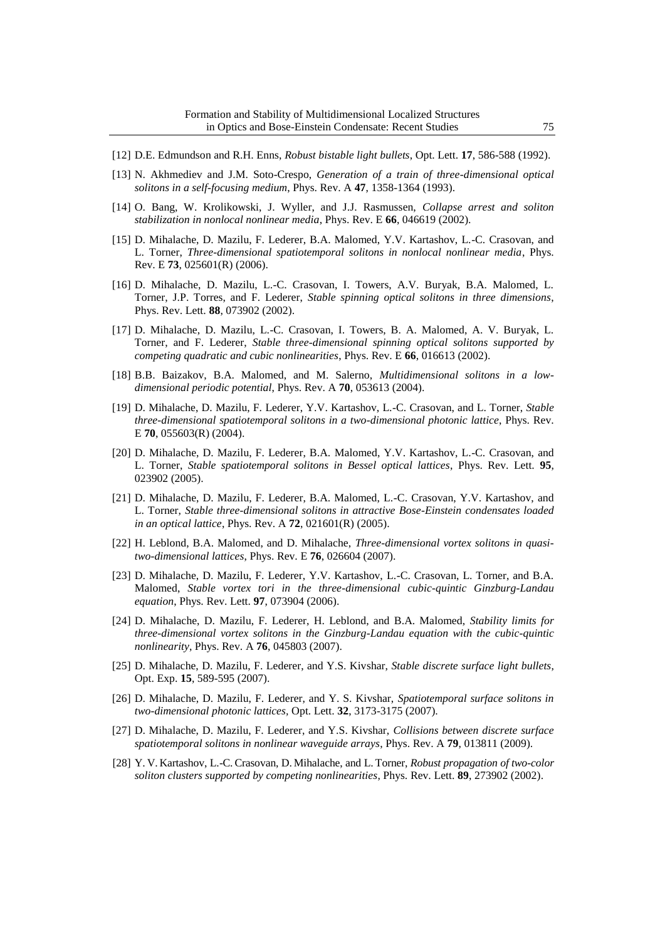- [12] D.E. Edmundson and R.H. Enns, *Robust bistable light bullets*, Opt. Lett. **17**, 586-588 (1992).
- [13] N. Akhmediev and J.M. Soto-Crespo, *Generation of a train of three-dimensional optical solitons in a self-focusing medium*, Phys. Rev. A **47**, 1358-1364 (1993).
- [14] O. Bang, W. Krolikowski, J. Wyller, and J.J. Rasmussen, *Collapse arrest and soliton stabilization in nonlocal nonlinear media*, Phys. Rev. E **66**, 046619 (2002).
- [15] D. Mihalache, D. Mazilu, F. Lederer, B.A. Malomed, Y.V. Kartashov, L.-C. Crasovan, and L. Torner, *Three-dimensional spatiotemporal solitons in nonlocal nonlinear media*, Phys. Rev. E **73**, 025601(R) (2006).
- [16] D. Mihalache, D. Mazilu, L.-C. Crasovan, I. Towers, A.V. Buryak, B.A. Malomed, L. Torner, J.P. Torres, and F. Lederer, *Stable spinning optical solitons in three dimensions*, Phys. Rev. Lett. **88**, 073902 (2002).
- [17] D. Mihalache, D. Mazilu, L.-C. Crasovan, I. Towers, B. A. Malomed, A. V. Buryak, L. Torner, and F. Lederer, *Stable three-dimensional spinning optical solitons supported by competing quadratic and cubic nonlinearities*, Phys. Rev. E **66**, 016613 (2002).
- [18] B.B. Baizakov, B.A. Malomed, and M. Salerno, *Multidimensional solitons in a lowdimensional periodic potential*, Phys. Rev. A **70**, 053613 (2004).
- [19] D. Mihalache, D. Mazilu, F. Lederer, Y.V. Kartashov, L.-C. Crasovan, and L. Torner, *Stable three-dimensional spatiotemporal solitons in a two-dimensional photonic lattice*, Phys. Rev. E **70**, 055603(R) (2004).
- [20] D. Mihalache, D. Mazilu, F. Lederer, B.A. Malomed, Y.V. Kartashov, L.-C. Crasovan, and L. Torner, *Stable spatiotemporal solitons in Bessel optical lattices*, Phys. Rev. Lett. **95**, 023902 (2005).
- [21] D. Mihalache, D. Mazilu, F. Lederer, B.A. Malomed, L.-C. Crasovan, Y.V. Kartashov, and L. Torner, *Stable three-dimensional solitons in attractive Bose-Einstein condensates loaded in an optical lattice*, Phys. Rev. A **72**, 021601(R) (2005).
- [22] H. Leblond, B.A. Malomed, and D. Mihalache, *Three-dimensional vortex solitons in quasitwo-dimensional lattices*, Phys. Rev. E **76**, 026604 (2007).
- [23] D. Mihalache, D. Mazilu, F. Lederer, Y.V. Kartashov, L.-C. Crasovan, L. Torner, and B.A. Malomed, *Stable vortex tori in the three-dimensional cubic-quintic Ginzburg-Landau equation*, Phys. Rev. Lett. **97**, 073904 (2006).
- [24] D. Mihalache, D. Mazilu, F. Lederer, H. Leblond, and B.A. Malomed, *Stability limits for three-dimensional vortex solitons in the Ginzburg-Landau equation with the cubic-quintic nonlinearity*, Phys. Rev. A **76**, 045803 (2007).
- [25] D. Mihalache, D. Mazilu, F. Lederer, and Y.S. Kivshar, *Stable discrete surface light bullets*, Opt. Exp. **15**, 589-595 (2007).
- [26] D. Mihalache, D. Mazilu, F. Lederer, and Y. S. Kivshar, *Spatiotemporal surface solitons in two-dimensional photonic lattices,* Opt. Lett. **32**, 3173-3175 (2007).
- [27] D. Mihalache, D. Mazilu, F. Lederer, and Y.S. Kivshar, *Collisions between discrete surface spatiotemporal solitons in nonlinear waveguide arrays*, Phys. Rev. A **79**, 013811 (2009).
- [28] Y. V. Kartashov, L.-C. Crasovan, D. Mihalache, and L. Torner, *Robust propagation of two-color soliton clusters supported by competing nonlinearities*, Phys. Rev. Lett. **89**, 273902 (2002).